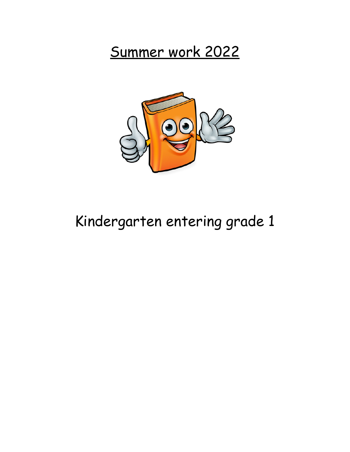Summer work 2022



# Kindergarten entering grade 1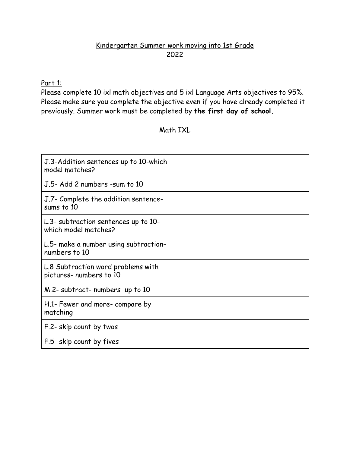### Kindergarten Summer work moving into 1st Grade 2022

#### Part 1:

Please complete 10 ixl math objectives and 5 ixl Language Arts objectives to 95%. Please make sure you complete the objective even if you have already completed it previously. Summer work must be completed by **the first day of school.**

#### Math IXL

| J.3-Addition sentences up to 10-which<br>model matches?       |  |
|---------------------------------------------------------------|--|
| J.5- Add 2 numbers -sum to 10                                 |  |
| J.7- Complete the addition sentence-<br>sums to 10            |  |
| L.3- subtraction sentences up to 10-<br>which model matches?  |  |
| L.5- make a number using subtraction-<br>numbers to 10        |  |
| L.8 Subtraction word problems with<br>pictures- numbers to 10 |  |
| M.2- subtract- numbers up to 10                               |  |
| H.1- Fewer and more- compare by<br>matching                   |  |
| F.2- skip count by twos                                       |  |
| F.5- skip count by fives                                      |  |